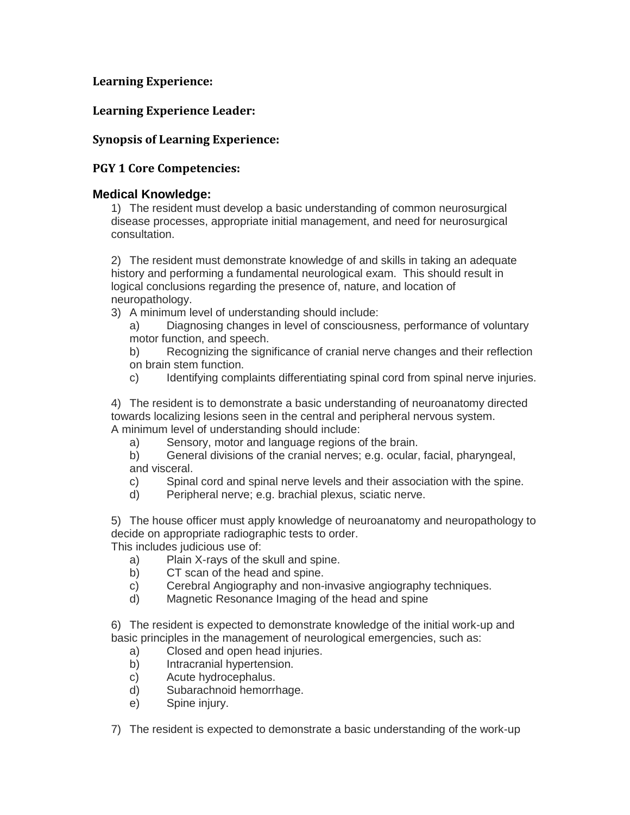# **Learning Experience:**

# **Learning Experience Leader:**

# **Synopsis of Learning Experience:**

# **PGY 1 Core Competencies:**

## **Medical Knowledge:**

1) The resident must develop a basic understanding of common neurosurgical disease processes, appropriate initial management, and need for neurosurgical consultation.

2) The resident must demonstrate knowledge of and skills in taking an adequate history and performing a fundamental neurological exam. This should result in logical conclusions regarding the presence of, nature, and location of neuropathology.

3) A minimum level of understanding should include:

a) Diagnosing changes in level of consciousness, performance of voluntary motor function, and speech.

b) Recognizing the significance of cranial nerve changes and their reflection on brain stem function.

c) Identifying complaints differentiating spinal cord from spinal nerve injuries.

4) The resident is to demonstrate a basic understanding of neuroanatomy directed towards localizing lesions seen in the central and peripheral nervous system. A minimum level of understanding should include:

a) Sensory, motor and language regions of the brain.

b) General divisions of the cranial nerves; e.g. ocular, facial, pharyngeal, and visceral.

- c) Spinal cord and spinal nerve levels and their association with the spine.
- d) Peripheral nerve; e.g. brachial plexus, sciatic nerve.

5) The house officer must apply knowledge of neuroanatomy and neuropathology to decide on appropriate radiographic tests to order.

This includes judicious use of:

- a) Plain X-rays of the skull and spine.
- b) CT scan of the head and spine.
- c) Cerebral Angiography and non-invasive angiography techniques.
- d) Magnetic Resonance Imaging of the head and spine

6) The resident is expected to demonstrate knowledge of the initial work-up and basic principles in the management of neurological emergencies, such as:

- a) Closed and open head injuries.
- b) Intracranial hypertension.
- c) Acute hydrocephalus.
- d) Subarachnoid hemorrhage.
- e) Spine injury.

7) The resident is expected to demonstrate a basic understanding of the work-up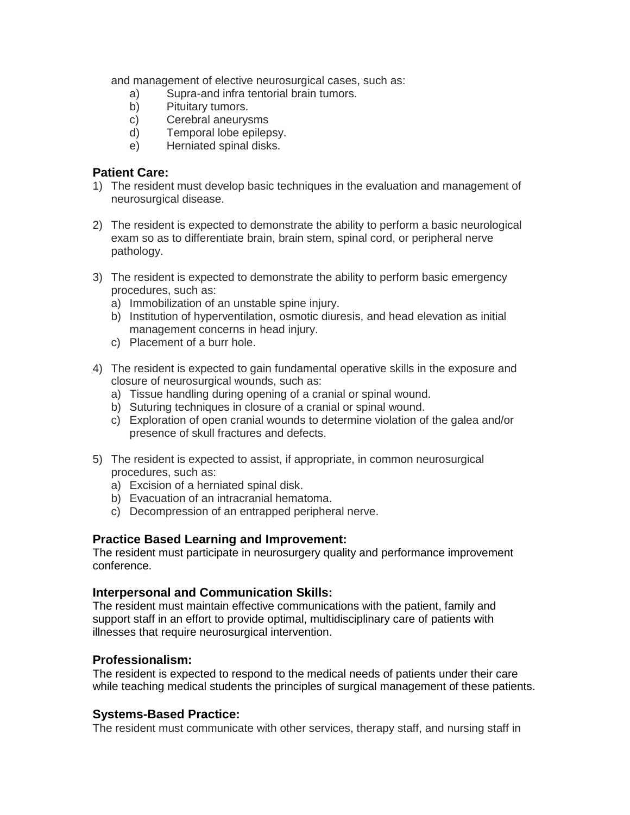and management of elective neurosurgical cases, such as:

- a) Supra-and infra tentorial brain tumors.
- b) Pituitary tumors.
- c) Cerebral aneurysms
- d) Temporal lobe epilepsy.
- e) Herniated spinal disks.

#### **Patient Care:**

- 1) The resident must develop basic techniques in the evaluation and management of neurosurgical disease.
- 2) The resident is expected to demonstrate the ability to perform a basic neurological exam so as to differentiate brain, brain stem, spinal cord, or peripheral nerve pathology.
- 3) The resident is expected to demonstrate the ability to perform basic emergency procedures, such as:
	- a) Immobilization of an unstable spine injury.
	- b) Institution of hyperventilation, osmotic diuresis, and head elevation as initial management concerns in head injury.
	- c) Placement of a burr hole.
- 4) The resident is expected to gain fundamental operative skills in the exposure and closure of neurosurgical wounds, such as:
	- a) Tissue handling during opening of a cranial or spinal wound.
	- b) Suturing techniques in closure of a cranial or spinal wound.
	- c) Exploration of open cranial wounds to determine violation of the galea and/or presence of skull fractures and defects.
- 5) The resident is expected to assist, if appropriate, in common neurosurgical procedures, such as:
	- a) Excision of a herniated spinal disk.
	- b) Evacuation of an intracranial hematoma.
	- c) Decompression of an entrapped peripheral nerve.

## **Practice Based Learning and Improvement:**

The resident must participate in neurosurgery quality and performance improvement conference.

## **Interpersonal and Communication Skills:**

The resident must maintain effective communications with the patient, family and support staff in an effort to provide optimal, multidisciplinary care of patients with illnesses that require neurosurgical intervention.

## **Professionalism:**

The resident is expected to respond to the medical needs of patients under their care while teaching medical students the principles of surgical management of these patients.

## **Systems-Based Practice:**

The resident must communicate with other services, therapy staff, and nursing staff in